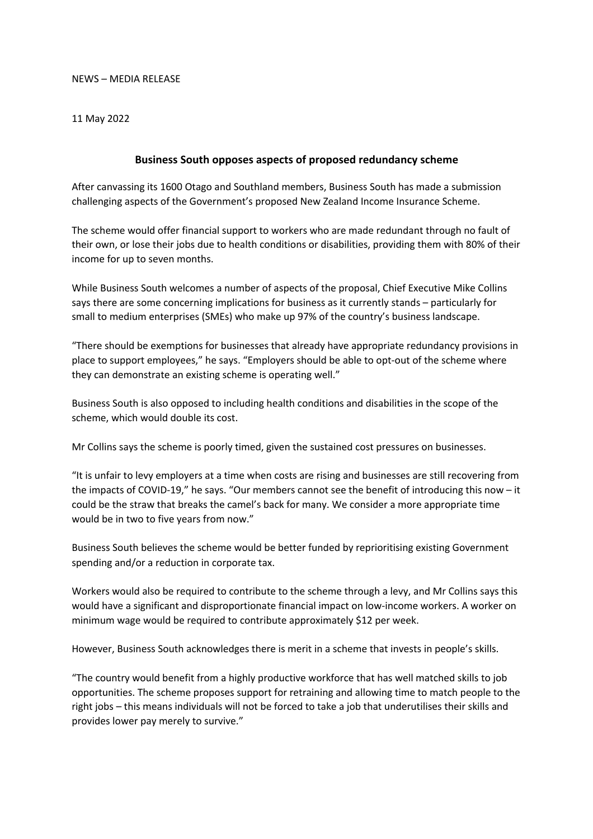## NEWS – MEDIA RELEASE

## 11 May 2022

## **Business South opposes aspects of proposed redundancy scheme**

After canvassing its 1600 Otago and Southland members, Business South has made a submission challenging aspects of the Government's proposed New Zealand Income Insurance Scheme.

The scheme would offer financial support to workers who are made redundant through no fault of their own, or lose their jobs due to health conditions or disabilities, providing them with 80% of their income for up to seven months.

While Business South welcomes a number of aspects of the proposal, Chief Executive Mike Collins says there are some concerning implications for business as it currently stands – particularly for small to medium enterprises (SMEs) who make up 97% of the country's business landscape.

"There should be exemptions for businesses that already have appropriate redundancy provisions in place to support employees," he says. "Employers should be able to opt-out of the scheme where they can demonstrate an existing scheme is operating well."

Business South is also opposed to including health conditions and disabilities in the scope of the scheme, which would double its cost.

Mr Collins says the scheme is poorly timed, given the sustained cost pressures on businesses.

"It is unfair to levy employers at a time when costs are rising and businesses are still recovering from the impacts of COVID-19," he says. "Our members cannot see the benefit of introducing this now – it could be the straw that breaks the camel's back for many. We consider a more appropriate time would be in two to five years from now."

Business South believes the scheme would be better funded by reprioritising existing Government spending and/or a reduction in corporate tax.

Workers would also be required to contribute to the scheme through a levy, and Mr Collins says this would have a significant and disproportionate financial impact on low-income workers. A worker on minimum wage would be required to contribute approximately \$12 per week.

However, Business South acknowledges there is merit in a scheme that invests in people's skills.

"The country would benefit from a highly productive workforce that has well matched skills to job opportunities. The scheme proposes support for retraining and allowing time to match people to the right jobs – this means individuals will not be forced to take a job that underutilises their skills and provides lower pay merely to survive."